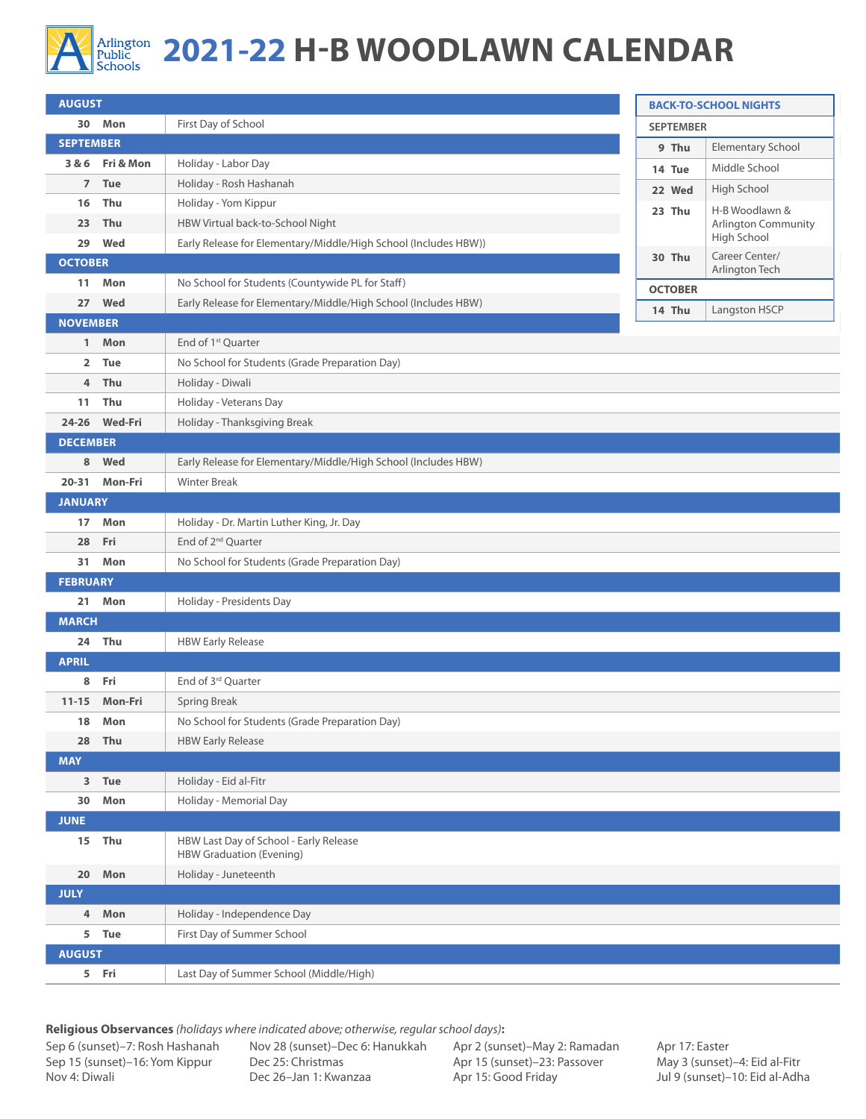

## Arlington **2021-22 H-B WOODLAWN CALENDAR**

| <b>AUGUST</b>    |                 | <b>BACK-TO-SCHOOL NIGHTS</b>                                              |                                  |                     |  |  |  |  |  |
|------------------|-----------------|---------------------------------------------------------------------------|----------------------------------|---------------------|--|--|--|--|--|
|                  | 30 Mon          | <b>SEPTEMBER</b>                                                          |                                  |                     |  |  |  |  |  |
| <b>SEPTEMBER</b> |                 |                                                                           | 9 Thu                            | Elementary School   |  |  |  |  |  |
|                  | 3 & 6 Fri & Mon | Holiday - Labor Day                                                       | 14 Tue                           | Middle School       |  |  |  |  |  |
| $\overline{7}$   | Tue             | Holiday - Rosh Hashanah                                                   | 22 Wed                           | High School         |  |  |  |  |  |
| 16               | Thu             | Holiday - Yom Kippur                                                      | 23 Thu                           | H-B Woodlawn &      |  |  |  |  |  |
| 23               | Thu             | HBW Virtual back-to-School Night                                          |                                  | Arlington Community |  |  |  |  |  |
| 29               | Wed             | Early Release for Elementary/Middle/High School (Includes HBW))           |                                  | High School         |  |  |  |  |  |
| <b>OCTOBER</b>   |                 | 30 Thu                                                                    | Career Center/<br>Arlington Tech |                     |  |  |  |  |  |
| 11               | Mon             | No School for Students (Countywide PL for Staff)                          | <b>OCTOBER</b>                   |                     |  |  |  |  |  |
| 27               | Wed             | Early Release for Elementary/Middle/High School (Includes HBW)            | Langston HSCP<br>14 Thu          |                     |  |  |  |  |  |
| <b>NOVEMBER</b>  |                 |                                                                           |                                  |                     |  |  |  |  |  |
|                  | 1 Mon           | End of 1 <sup>st</sup> Quarter                                            |                                  |                     |  |  |  |  |  |
| $\overline{2}$   | <b>Tue</b>      | No School for Students (Grade Preparation Day)                            |                                  |                     |  |  |  |  |  |
| 4                | Thu             | Holiday - Diwali                                                          |                                  |                     |  |  |  |  |  |
| 11               | Thu             | Holiday - Veterans Day                                                    |                                  |                     |  |  |  |  |  |
|                  | 24-26 Wed-Fri   | Holiday - Thanksgiving Break                                              |                                  |                     |  |  |  |  |  |
| <b>DECEMBER</b>  |                 |                                                                           |                                  |                     |  |  |  |  |  |
| 8                | Wed             | Early Release for Elementary/Middle/High School (Includes HBW)            |                                  |                     |  |  |  |  |  |
|                  | 20-31 Mon-Fri   | <b>Winter Break</b>                                                       |                                  |                     |  |  |  |  |  |
| <b>JANUARY</b>   |                 |                                                                           |                                  |                     |  |  |  |  |  |
| 17               | Mon             | Holiday - Dr. Martin Luther King, Jr. Day                                 |                                  |                     |  |  |  |  |  |
| 28               | Fri             | End of 2 <sup>nd</sup> Quarter                                            |                                  |                     |  |  |  |  |  |
|                  | 31 Mon          | No School for Students (Grade Preparation Day)                            |                                  |                     |  |  |  |  |  |
| <b>FEBRUARY</b>  |                 |                                                                           |                                  |                     |  |  |  |  |  |
| 21               | Mon             | Holiday - Presidents Day                                                  |                                  |                     |  |  |  |  |  |
| <b>MARCH</b>     |                 |                                                                           |                                  |                     |  |  |  |  |  |
|                  | 24 Thu          | <b>HBW Early Release</b>                                                  |                                  |                     |  |  |  |  |  |
| <b>APRIL</b>     |                 |                                                                           |                                  |                     |  |  |  |  |  |
|                  | 8 Fri           | End of 3rd Quarter                                                        |                                  |                     |  |  |  |  |  |
| $11 - 15$        | Mon-Fri         | <b>Spring Break</b>                                                       |                                  |                     |  |  |  |  |  |
| 18               | Mon             | No School for Students (Grade Preparation Day)                            |                                  |                     |  |  |  |  |  |
| 28               | Thu             | <b>HBW Early Release</b>                                                  |                                  |                     |  |  |  |  |  |
| <b>MAY</b>       |                 |                                                                           |                                  |                     |  |  |  |  |  |
| 3                | Tue             | Holiday - Eid al-Fitr                                                     |                                  |                     |  |  |  |  |  |
| 30               | Mon             | Holiday - Memorial Day                                                    |                                  |                     |  |  |  |  |  |
| <b>JUNE</b>      |                 |                                                                           |                                  |                     |  |  |  |  |  |
| 15               | Thu             | HBW Last Day of School - Early Release<br><b>HBW Graduation (Evening)</b> |                                  |                     |  |  |  |  |  |
| 20               | Mon             | Holiday - Juneteenth                                                      |                                  |                     |  |  |  |  |  |
| <b>JULY</b>      |                 |                                                                           |                                  |                     |  |  |  |  |  |
| 4                | Mon             | Holiday - Independence Day                                                |                                  |                     |  |  |  |  |  |
| 5                | Tue             | First Day of Summer School                                                |                                  |                     |  |  |  |  |  |
| <b>AUGUST</b>    |                 |                                                                           |                                  |                     |  |  |  |  |  |
|                  | 5 Fri           | Last Day of Summer School (Middle/High)                                   |                                  |                     |  |  |  |  |  |

**Religious Observances** *(holidays where indicated above; otherwise, regular school days)***:**

Sep 6 (sunset)–7: Rosh Hashanah Sep 15 (sunset)–16: Yom Kippur Nov 4: Diwali

Nov 28 (sunset)–Dec 6: Hanukkah Dec 25: Christmas Dec 26–Jan 1: Kwanzaa

Apr 2 (sunset)–May 2: Ramadan Apr 15 (sunset)–23: Passover Apr 15: Good Friday

Apr 17: Easter May 3 (sunset)–4: Eid al-Fitr Jul 9 (sunset)–10: Eid al-Adha